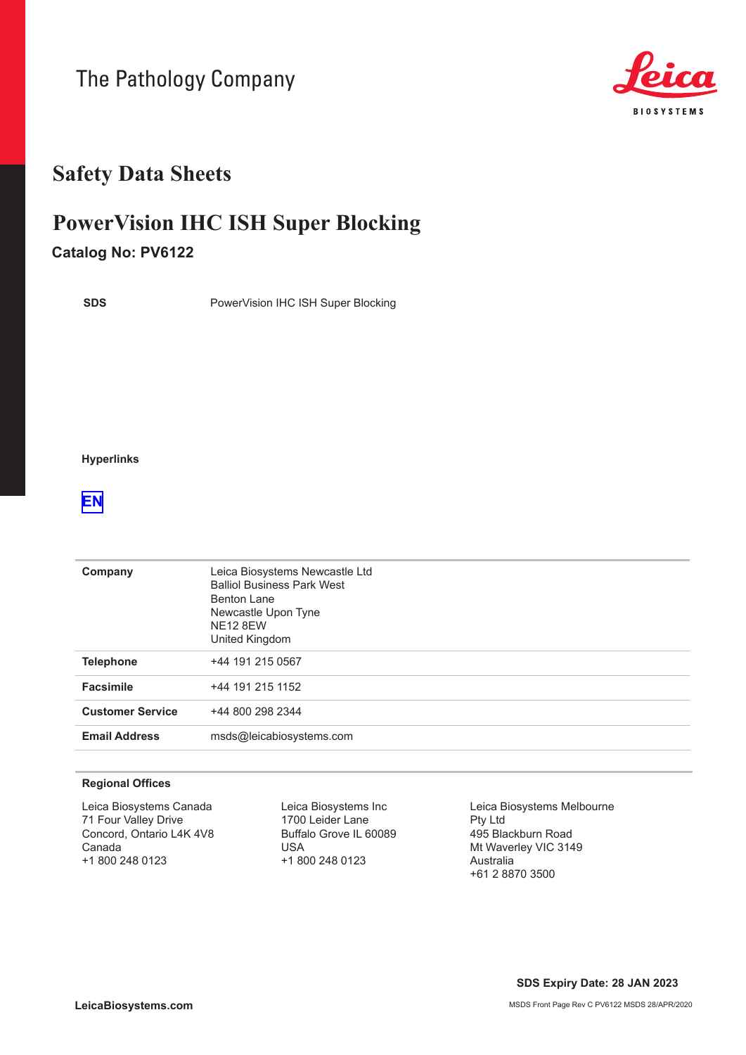The Pathology Company



## **Safety Data Sheets**

# **PowerVision IHC ISH Super Blocking**

### **Catalog No: PV6122**

**SDS**

PowerVision IHC ISH Super Blocking

**Hyperlinks**

### **[EN](#page-1-0)**

| Company                 | Leica Biosystems Newcastle Ltd<br><b>Balliol Business Park West</b><br>Benton Lane<br>Newcastle Upon Tyne<br><b>NE12 8EW</b><br>United Kingdom |
|-------------------------|------------------------------------------------------------------------------------------------------------------------------------------------|
| <b>Telephone</b>        | +44 191 215 0567                                                                                                                               |
| <b>Facsimile</b>        | +44 191 215 1152                                                                                                                               |
| <b>Customer Service</b> | +44 800 298 2344                                                                                                                               |
| <b>Email Address</b>    | msds@leicabiosystems.com                                                                                                                       |

#### **Regional Offices**

Leica Biosystems Canada 71 Four Valley Drive Concord, Ontario L4K 4V8 Canada +1 800 248 0123

Leica Biosystems Inc 1700 Leider Lane Buffalo Grove IL 60089 USA +1 800 248 0123

Leica Biosystems Melbourne Pty Ltd 495 Blackburn Road Mt Waverley VIC 3149 Australia +61 2 8870 3500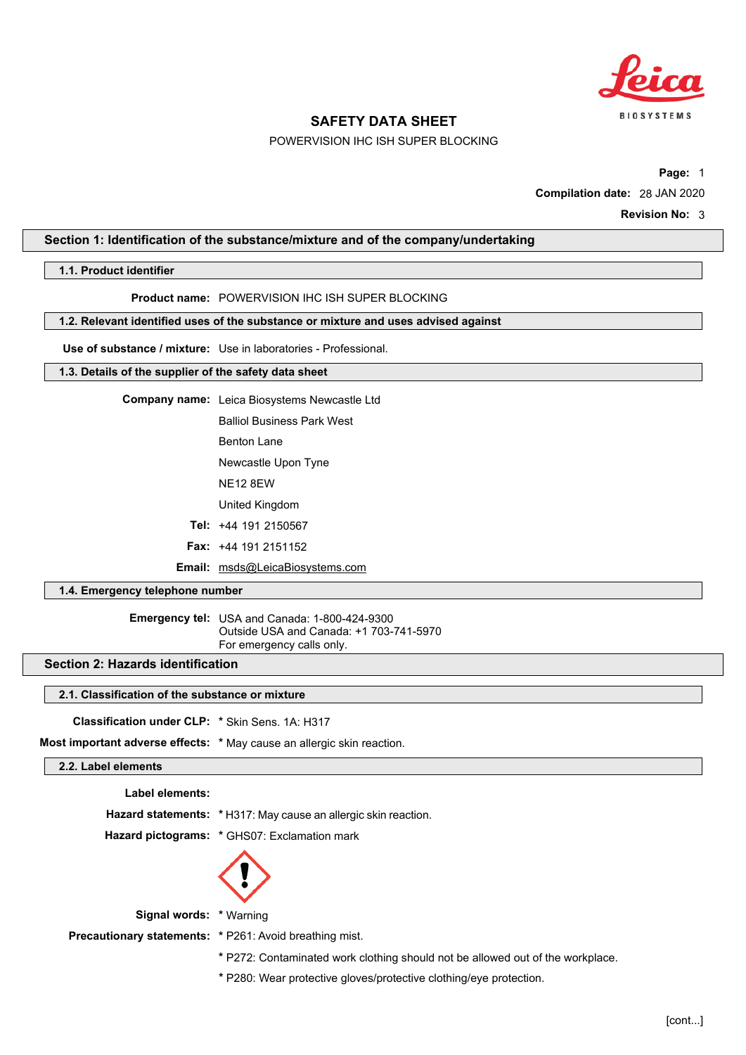

### POWERVISION IHC ISH SUPER BLOCKING

**Page:** 1 **Compilation date:** 28 JAN 2020

### <span id="page-1-0"></span>**Section 1: Identification of the substance/mixture and of the company/undertaking**

### **1.1. Product identifier**

**Product name:** POWERVISION IHC ISH SUPER BLOCKING

#### **1.2. Relevant identified uses of the substance or mixture and uses advised against**

**Use of substance / mixture:** Use in laboratories - Professional.

#### **1.3. Details of the supplier of the safety data sheet**

**Company name:** Leica Biosystems Newcastle Ltd

Balliol Business Park West

- Benton Lane
- Newcastle Upon Tyne
- NE12 8EW
- United Kingdom
- **Tel:** +44 191 2150567
- **Fax:** +44 191 2151152
- **Email:** msds@LeicaBiosystems.com

### **1.4. Emergency telephone number**

**Emergency tel:** USA and Canada: 1-800-424-9300 Outside USA and Canada: +1 703-741-5970 For emergency calls only.

### **Section 2: Hazards identification**

### **2.1. Classification of the substance or mixture**

**Classification under CLP: \*** Skin Sens. 1A: H317

**Most important adverse effects: \*** May cause an allergic skin reaction.

### **2.2. Label elements**

| Label elements: |                                                                       |
|-----------------|-----------------------------------------------------------------------|
|                 | <b>Hazard statements:</b> *H317: May cause an allergic skin reaction. |
|                 | Hazard pictograms: * GHS07: Exclamation mark                          |
|                 | $\langle \cdot \rangle$                                               |

**Signal words: \*** Warning

**Precautionary statements: \*** P261: Avoid breathing mist.

**\*** P272: Contaminated work clothing should not be allowed out of the workplace.

**\*** P280: Wear protective gloves/protective clothing/eye protection.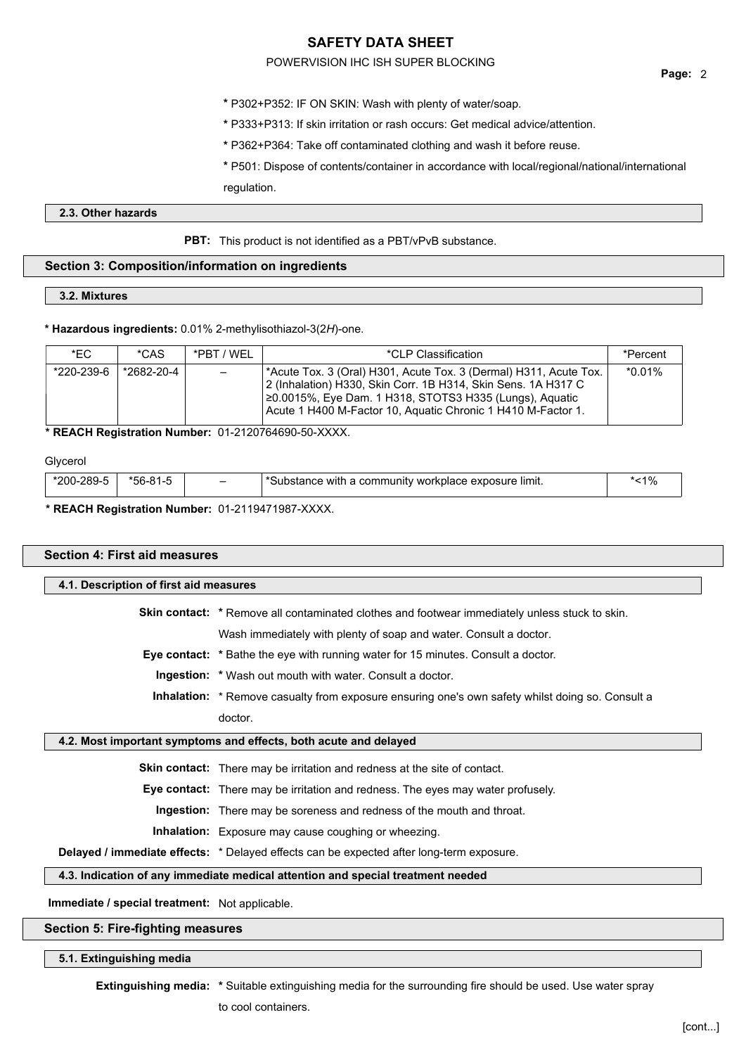### POWERVISION IHC ISH SUPER BLOCKING

- **\*** P302+P352: IF ON SKIN: Wash with plenty of water/soap.
- **\*** P333+P313: If skin irritation or rash occurs: Get medical advice/attention.
- **\*** P362+P364: Take off contaminated clothing and wash it before reuse.

**\*** P501: Dispose of contents/container in accordance with local/regional/national/international regulation.

### **2.3. Other hazards**

**PBT:** This product is not identified as a PBT/vPvB substance.

### **Section 3: Composition/information on ingredients**

### **3.2. Mixtures**

### **\* Hazardous ingredients:** 0.01% 2-methylisothiazol-3(2*H*)-one.

| *FC        | *CAS       | *PRT / WFI               | *CLP Classification                                                                                                                                                                                                                                            | *Percent |
|------------|------------|--------------------------|----------------------------------------------------------------------------------------------------------------------------------------------------------------------------------------------------------------------------------------------------------------|----------|
| *220-239-6 | *2682-20-4 | $\overline{\phantom{0}}$ | '*Acute Tox. 3 (Oral) H301, Acute Tox. 3 (Dermal) H311, Acute Tox.<br>2 (Inhalation) H330, Skin Corr. 1B H314, Skin Sens. 1A H317 C<br>20.0015%, Eye Dam. 1 H318, STOTS3 H335 (Lungs), Aguatic<br>Acute 1 H400 M-Factor 10, Aquatic Chronic 1 H410 M-Factor 1. | *0.01%   |

### **\* REACH Registration Number:** 01-2120764690-50-XXXX.

### Glycerol

| *200-289-L | *56- | $\overline{\phantom{0}}$ | Substance with a community it.<br>workplace exposure.<br>≧ limit. | ั<1% |
|------------|------|--------------------------|-------------------------------------------------------------------|------|
|            |      |                          |                                                                   |      |

### **\* REACH Registration Number:** 01-2119471987-XXXX.

## **Section 4: First aid measures 4.1. Description of first aid measures Skin contact:** \* Remove all contaminated clothes and footwear immediately unless stuck to skin. Wash immediately with plenty of soap and water. Consult a doctor. **Eye contact: \*** Bathe the eye with running water for 15 minutes. Consult a doctor. **Ingestion: \*** Wash out mouth with water. Consult a doctor. **Inhalation:** \* Remove casualty from exposure ensuring one's own safety whilst doing so. Consult a doctor. **4.2. Most important symptoms and effects, both acute and delayed Skin contact:** There may be irritation and redness at the site of contact. **Eye contact:** There may be irritation and redness. The eyes may water profusely. **Ingestion:** There may be soreness and redness of the mouth and throat. **Inhalation:** Exposure may cause coughing or wheezing. **Delayed / immediate effects:** \* Delayed effects can be expected after long-term exposure. **4.3. Indication of any immediate medical attention and special treatment needed Immediate / special treatment:** Not applicable. **Section 5: Fire-fighting measures**

#### **5.1. Extinguishing media**

**Extinguishing media: \*** Suitable extinguishing media for the surrounding fire should be used. Use water spray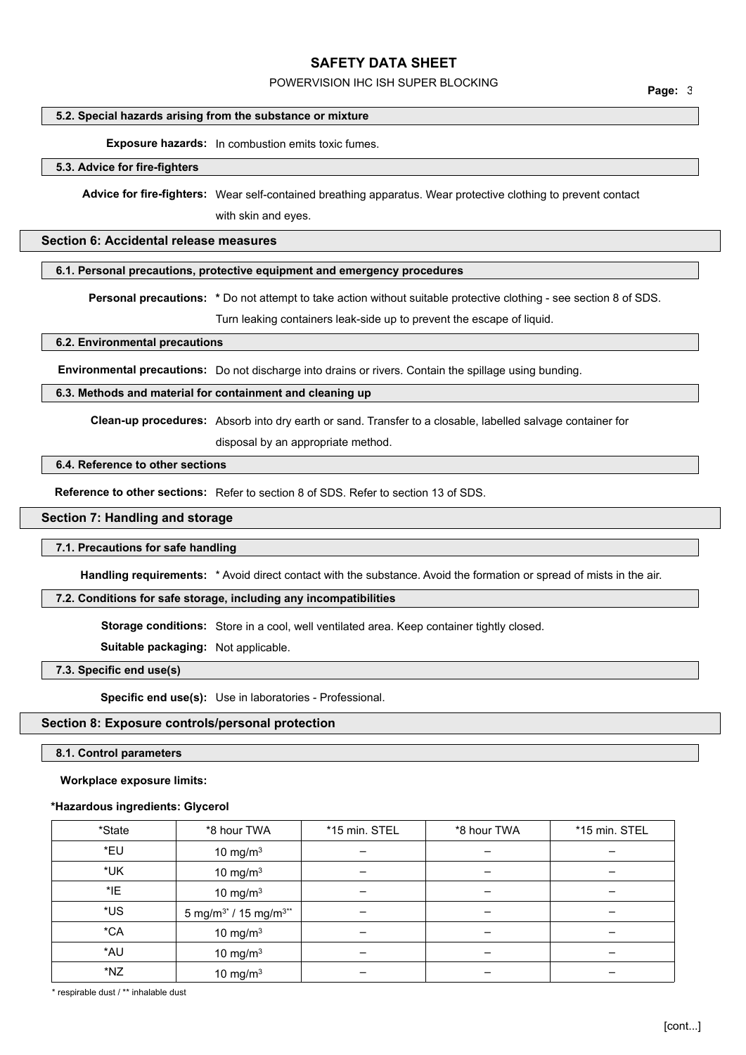## POWERVISION IHC ISH SUPER BLOCKING **Page:** <sup>3</sup>

### **5.2. Special hazards arising from the substance or mixture**

**Exposure hazards:** In combustion emits toxic fumes.

#### **5.3. Advice for fire-fighters**

**Advice for fire-fighters:** Wear self-contained breathing apparatus. Wear protective clothing to prevent contact with skin and eyes.

### **Section 6: Accidental release measures**

#### **6.1. Personal precautions, protective equipment and emergency procedures**

**Personal precautions: \*** Do not attempt to take action without suitable protective clothing - see section 8 of SDS.

Turn leaking containers leak-side up to prevent the escape of liquid.

#### **6.2. Environmental precautions**

**Environmental precautions:** Do not discharge into drains or rivers. Contain the spillage using bunding.

#### **6.3. Methods and material for containment and cleaning up**

**Clean-up procedures:** Absorb into dry earth or sand. Transfer to a closable, labelled salvage container for

disposal by an appropriate method.

### **6.4. Reference to other sections**

**Reference to other sections:** Refer to section 8 of SDS. Refer to section 13 of SDS.

### **Section 7: Handling and storage**

#### **7.1. Precautions for safe handling**

**Handling requirements:** \* Avoid direct contact with the substance. Avoid the formation or spread of mists in the air.

### **7.2. Conditions for safe storage, including any incompatibilities**

**Storage conditions:** Store in a cool, well ventilated area. Keep container tightly closed.

**Suitable packaging:** Not applicable.

**7.3. Specific end use(s)**

**Specific end use(s):** Use in laboratories - Professional.

### **Section 8: Exposure controls/personal protection**

**8.1. Control parameters**

#### **Workplace exposure limits:**

### **\*Hazardous ingredients: Glycerol**

| *State | *8 hour TWA                                   | *15 min. STEL | *8 hour TWA | *15 min. STEL |
|--------|-----------------------------------------------|---------------|-------------|---------------|
| *EU    | 10 mg/m $3$                                   |               |             |               |
| *UK    | 10 mg/m $3$                                   |               |             |               |
| *IE    | 10 mg/m $3$                                   |               |             |               |
| *US    | 5 mg/m <sup>3*</sup> / 15 mg/m <sup>3**</sup> |               |             |               |
| $*CA$  | 10 mg/m $3$                                   |               |             |               |
| *AU    | 10 mg/m $3$                                   |               |             |               |
| *NZ    | 10 mg/m $3$                                   |               |             |               |

\* respirable dust / \*\* inhalable dust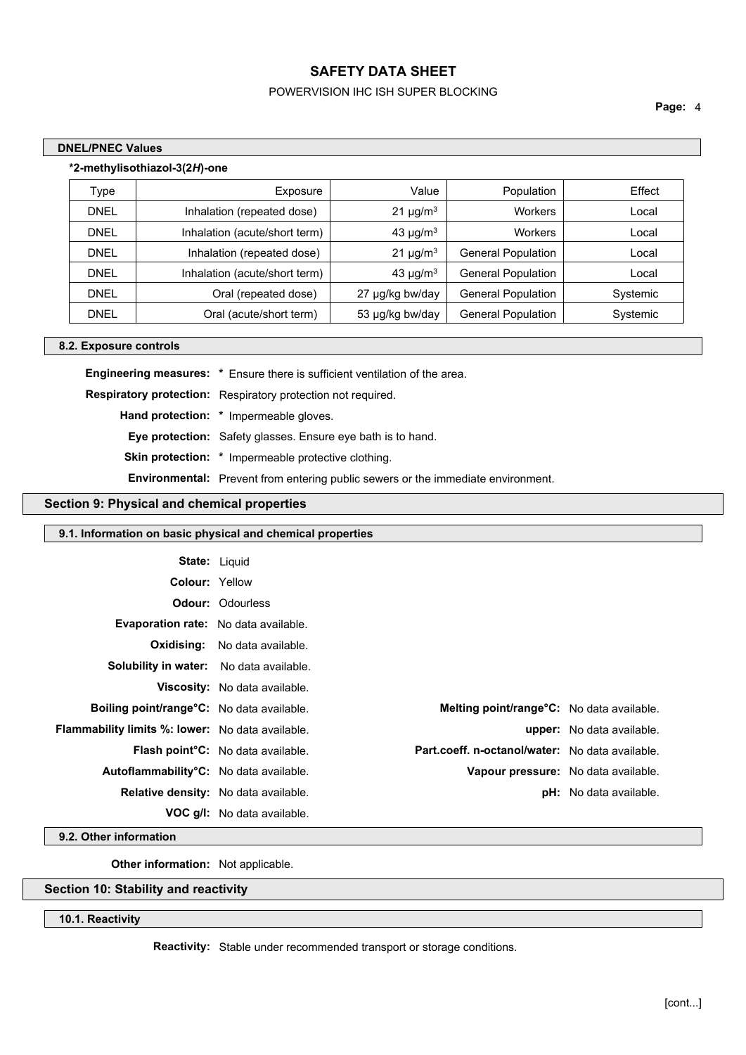### POWERVISION IHC ISH SUPER BLOCKING

**Page:** 4

٦

| <b>DNEL/PNEC Values</b> |                               |       |
|-------------------------|-------------------------------|-------|
|                         | *2-methylisothiazol-3(2H)-one |       |
| $\tau$ ype              | Exposure                      | Value |

| Туре        | Exposure                      | Value                     | Population                | Effect   |
|-------------|-------------------------------|---------------------------|---------------------------|----------|
| <b>DNEL</b> | Inhalation (repeated dose)    | 21 $\mu$ g/m <sup>3</sup> | Workers                   | Local    |
| <b>DNEL</b> | Inhalation (acute/short term) | 43 $\mu$ g/m <sup>3</sup> | Workers                   | Local    |
| <b>DNEL</b> | Inhalation (repeated dose)    | $21 \mu g/m3$             | <b>General Population</b> | Local    |
| <b>DNEL</b> | Inhalation (acute/short term) | 43 $\mu$ g/m <sup>3</sup> | <b>General Population</b> | Local    |
| <b>DNEL</b> | Oral (repeated dose)          | 27 µg/kg bw/day           | <b>General Population</b> | Systemic |
| <b>DNEL</b> | Oral (acute/short term)       | 53 µg/kg bw/day           | <b>General Population</b> | Systemic |

### **8.2. Exposure controls**

**Engineering measures: \*** Ensure there is sufficient ventilation of the area. **Respiratory protection:** Respiratory protection not required. **Hand protection: \*** Impermeable gloves. **Eye protection:** Safety glasses. Ensure eye bath is to hand. **Skin protection: \*** Impermeable protective clothing. **Environmental:** Prevent from entering public sewers or the immediate environment.

### **Section 9: Physical and chemical properties**

|                                                  | 9.1. Information on basic physical and chemical properties |                                                   |                                  |
|--------------------------------------------------|------------------------------------------------------------|---------------------------------------------------|----------------------------------|
| <b>State: Liquid</b>                             |                                                            |                                                   |                                  |
| <b>Colour: Yellow</b>                            |                                                            |                                                   |                                  |
|                                                  | <b>Odour: Odourless</b>                                    |                                                   |                                  |
|                                                  |                                                            |                                                   |                                  |
| <b>Evaporation rate:</b> No data available.      |                                                            |                                                   |                                  |
| Oxidising:                                       | No data available.                                         |                                                   |                                  |
| <b>Solubility in water:</b> No data available.   |                                                            |                                                   |                                  |
|                                                  | Viscosity: No data available.                              |                                                   |                                  |
| Boiling point/range°C: No data available.        |                                                            | <b>Melting point/range °C:</b> No data available. |                                  |
| Flammability limits %: lower: No data available. |                                                            |                                                   | <b>upper:</b> No data available. |
|                                                  | <b>Flash point C:</b> No data available.                   | Part.coeff. n-octanol/water: No data available.   |                                  |
| Autoflammability°C: No data available.           |                                                            | Vapour pressure: No data available.               |                                  |
| Relative density: No data available.             |                                                            |                                                   | <b>pH:</b> No data available.    |
|                                                  | <b>VOC g/l:</b> No data available.                         |                                                   |                                  |

**9.2. Other information**

**Other information:** Not applicable.

### **Section 10: Stability and reactivity**

**10.1. Reactivity**

**Reactivity:** Stable under recommended transport or storage conditions.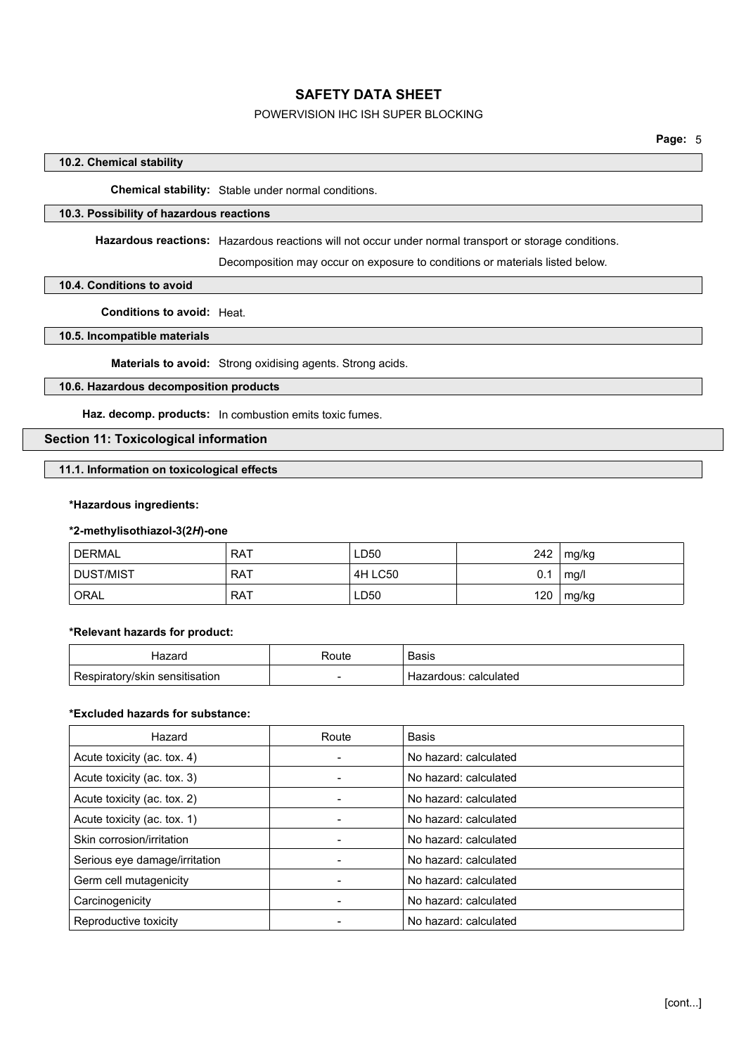### POWERVISION IHC ISH SUPER BLOCKING

### **10.2. Chemical stability**

**Chemical stability:** Stable under normal conditions.

### **10.3. Possibility of hazardous reactions**

**Hazardous reactions:** Hazardous reactions will not occur under normal transport or storage conditions.

Decomposition may occur on exposure to conditions or materials listed below.

### **10.4. Conditions to avoid**

**Conditions to avoid:** Heat.

### **10.5. Incompatible materials**

**Materials to avoid:** Strong oxidising agents. Strong acids.

### **10.6. Hazardous decomposition products**

**Haz. decomp. products:** In combustion emits toxic fumes.

### **Section 11: Toxicological information**

**11.1. Information on toxicological effects**

### **\*Hazardous ingredients:**

### **\*2-methylisothiazol-3(2***H***)-one**

| <b>DERMAL</b> | <b>RAT</b> | ∟D50    | 242 | mg/kg |
|---------------|------------|---------|-----|-------|
| DUST/MIST     | . RAT      | 4H LC50 | υ.  | mq/l  |
| ORAL          | RAT        | ∟D50    | 120 | mg/kg |

#### **\*Relevant hazards for product:**

| ⊣azard                         | Route | <b>Basis</b>               |
|--------------------------------|-------|----------------------------|
| Respiratory/skin sensitisation | -     | : calculated<br>Hazardous: |

#### **\*Excluded hazards for substance:**

| Hazard                        | Route | Basis                 |
|-------------------------------|-------|-----------------------|
| Acute toxicity (ac. tox. 4)   |       | No hazard: calculated |
| Acute toxicity (ac. tox. 3)   |       | No hazard: calculated |
| Acute toxicity (ac. tox. 2)   |       | No hazard: calculated |
| Acute toxicity (ac. tox. 1)   |       | No hazard: calculated |
| Skin corrosion/irritation     |       | No hazard: calculated |
| Serious eye damage/irritation |       | No hazard: calculated |
| Germ cell mutagenicity        |       | No hazard: calculated |
| Carcinogenicity               |       | No hazard: calculated |
| Reproductive toxicity         |       | No hazard: calculated |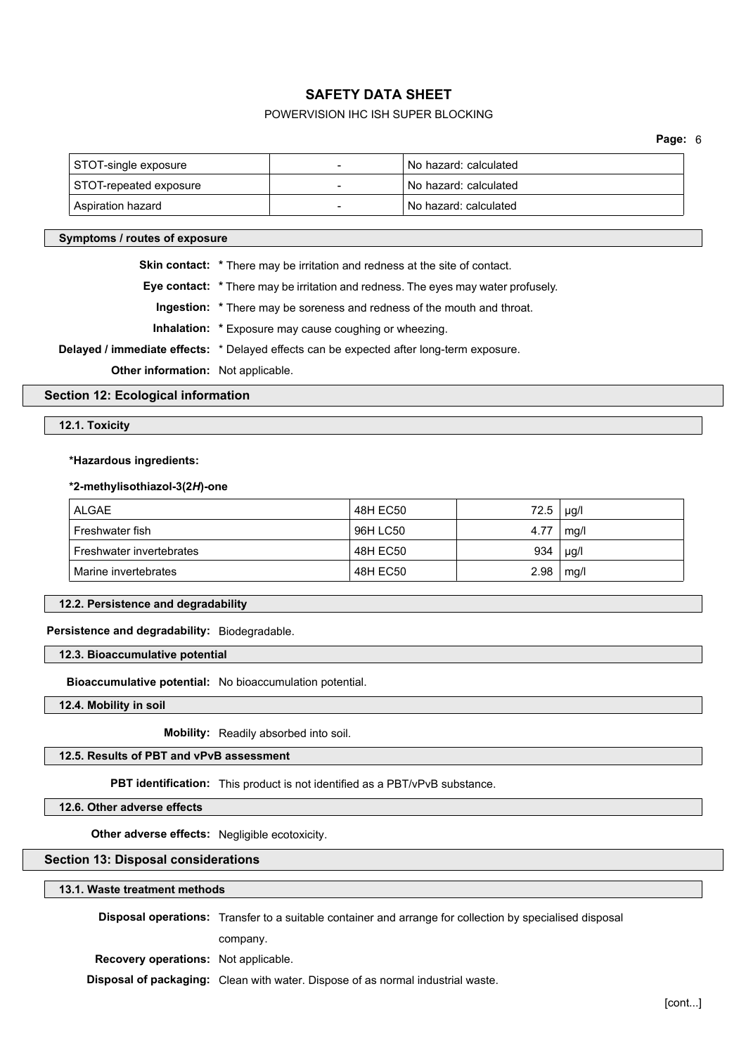### POWERVISION IHC ISH SUPER BLOCKING

| STOT-single exposure   | No hazard: calculated |
|------------------------|-----------------------|
| STOT-repeated exposure | No hazard: calculated |
| Aspiration hazard      | No hazard: calculated |

### **Symptoms / routes of exposure**

**Skin contact:** \* There may be irritation and redness at the site of contact.

**Eye contact: \*** There may be irritation and redness. The eyes may water profusely.

**Ingestion: \*** There may be soreness and redness of the mouth and throat.

**Inhalation: \*** Exposure may cause coughing or wheezing.

**Delayed / immediate effects:** \* Delayed effects can be expected after long-term exposure.

**Other information:** Not applicable.

### **Section 12: Ecological information**

#### **12.1. Toxicity**

### **\*Hazardous ingredients:**

#### **\*2-methylisothiazol-3(2***H***)-one**

| <b>ALGAE</b>             | 48H EC50 | 72.5 | $\mu$ g/l |
|--------------------------|----------|------|-----------|
| Freshwater fish          | 96H LC50 | 4.77 | mq/1      |
| Freshwater invertebrates | 48H EC50 | 934  | $\mu$ g/l |
| Marine invertebrates     | 48H EC50 | 2.98 | mg/l      |

#### **12.2. Persistence and degradability**

### **Persistence and degradability:** Biodegradable.

**12.3. Bioaccumulative potential**

**Bioaccumulative potential:** No bioaccumulation potential.

**12.4. Mobility in soil**

**Mobility:** Readily absorbed into soil.

### **12.5. Results of PBT and vPvB assessment**

**PBT identification:** This product is not identified as a PBT/vPvB substance.

**12.6. Other adverse effects**

**Other adverse effects:** Negligible ecotoxicity.

### **Section 13: Disposal considerations**

#### **13.1. Waste treatment methods**

**Disposal operations:** Transfer to a suitable container and arrange for collection by specialised disposal

company.

**Recovery operations:** Not applicable. **Disposal of packaging:** Clean with water. Dispose of as normal industrial waste.